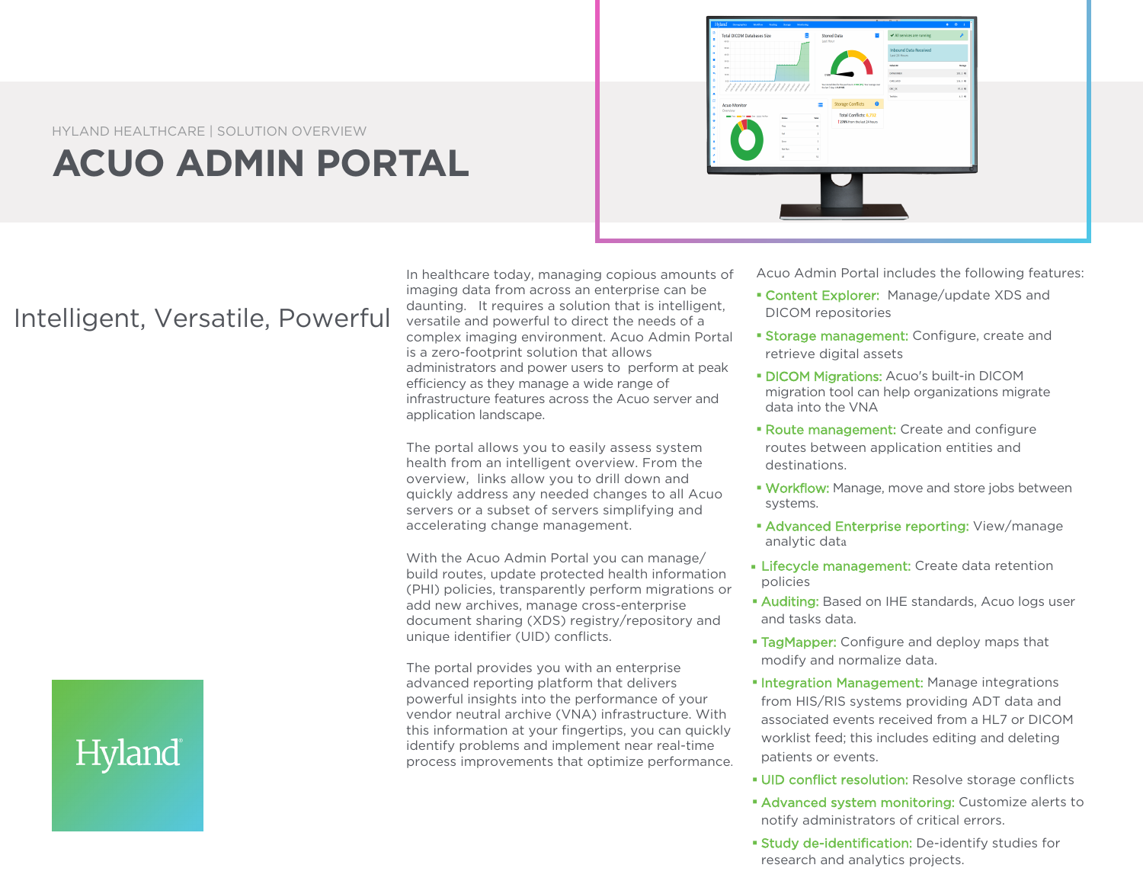

## **ACUO ADMIN PORTAL**



## Intelligent, Versatile, Powerful

In healthcare today, managing copious amounts of imaging data from across an enterprise can be daunting. It requires a solution that is intelligent, versatile and powerful to direct the needs of a complex imaging environment. Acuo Admin Portal is a zero-footprint solution that allows administrators and power users to perform at peak efficiency as they manage a wide range of infrastructure features across the Acuo server and application landscape.

The portal allows you to easily assess system health from an intelligent overview. From the overview, links allow you to drill down and quickly address any needed changes to all Acuo servers or a subset of servers simplifying and accelerating change management.

With the Acuo Admin Portal you can manage/ build routes, update protected health information (PHI) policies, transparently perform migrations or add new archives, manage cross-enterprise document sharing (XDS) registry/repository and unique identifier (UID) conflicts.

The portal provides you with an enterprise advanced reporting platform that delivers powerful insights into the performance of your vendor neutral archive (VNA) infrastructure. With this information at your fingertips, you can quickly identify problems and implement near real-time process improvements that optimize performance. Acuo Admin Portal includes the following features:

- **Content Explorer:** Manage/update XDS and DICOM repositories
- **Storage management:** Configure, create and retrieve digital assets
- **DICOM Migrations: Acuo's built-in DICOM** migration tool can help organizations migrate data into the VNA
- **Route management:** Create and configure routes between application entities and destinations.
- **Workflow:** Manage, move and store jobs between systems.
- **Advanced Enterprise reporting: View/manage** analytic data
- **Lifecycle management:** Create data retention policies
- **Auditing:** Based on IHE standards, Acuo logs user and tasks data.
- **TagMapper:** Configure and deploy maps that modify and normalize data.
- **Integration Management:** Manage integrations from HIS/RIS systems providing ADT data and associated events received from a HL7 or DICOM worklist feed; this includes editing and deleting patients or events.
- **UID conflict resolution:** Resolve storage conflicts
- **Advanced system monitoring: Customize alerts to** notify administrators of critical errors.
- **Study de-identification:** De-identify studies for research and analytics projects.

## Hyland